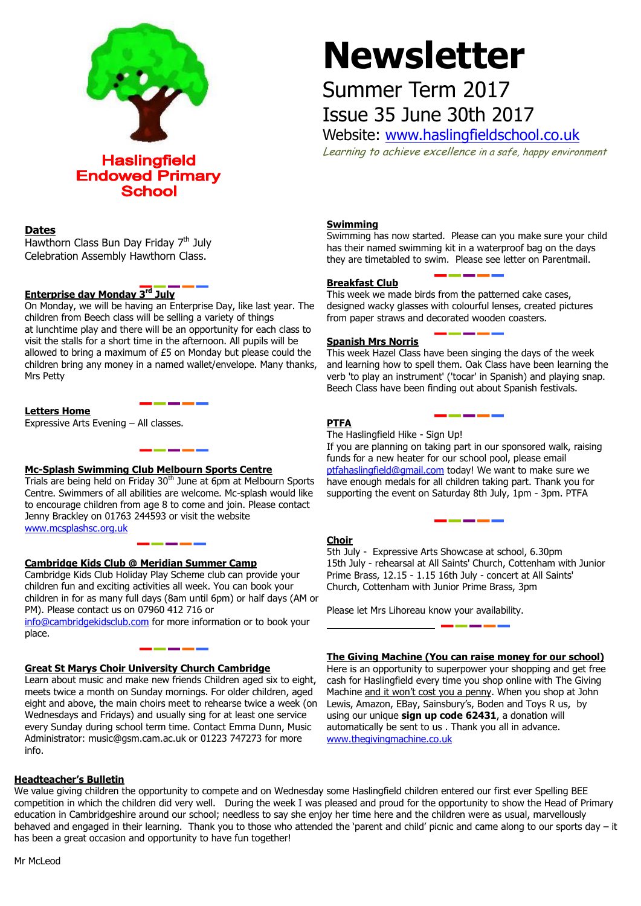

# **Newsletter**

# Summer Term 2017 Issue 35 June 30th 2017

Website: [www.haslingfieldschool.co.uk](http://www.haslingfieldschool.co.uk/)

Learning to achieve excellence in a safe, happy environment

## **Dates**

Hawthorn Class Bun Day Friday 7<sup>th</sup> July Celebration Assembly Hawthorn Class.

# **Enterprise day Monday 3 rd July**

On Monday, we will be having an Enterprise Day, like last year. The children from Beech class will be selling a variety of things at lunchtime play and there will be an opportunity for each class to visit the stalls for a short time in the afternoon. All pupils will be allowed to bring a maximum of £5 on Monday but please could the children bring any money in a named wallet/envelope. Many thanks, Mrs Petty

## **Letters Home**

Expressive Arts Evening – All classes.

# **Mc-Splash Swimming Club Melbourn Sports Centre**

Trials are being held on Friday 30<sup>th</sup> June at 6pm at Melbourn Sports Centre. Swimmers of all abilities are welcome. Mc-splash would like to encourage children from age 8 to come and join. Please contact Jenny Brackley on 01763 244593 or visit the website [www.mcsplashsc.org.uk](http://www.mcsplashsc.org.uk/) 

# **Cambridge Kids Club @ Meridian Summer Camp**

Cambridge Kids Club Holiday Play Scheme club can provide your children fun and exciting activities all week. You can book your children in for as many full days (8am until 6pm) or half days (AM or PM). Please contact us on 07960 412 716 or

[info@cambridgekidsclub.com](mailto:info@cambridgekidsclub.com) for more information or to book your place.

# **Great St Marys Choir University Church Cambridge**

Learn about music and make new friends Children aged six to eight, meets twice a month on Sunday mornings. For older children, aged eight and above, the main choirs meet to rehearse twice a week (on Wednesdays and Fridays) and usually sing for at least one service every Sunday during school term time. Contact Emma Dunn, Music Administrator: music@gsm.cam.ac.uk or 01223 747273 for more info.

# **Headteacher's Bulletin**

**Swimming**

Swimming has now started. Please can you make sure your child has their named swimming kit in a waterproof bag on the days they are timetabled to swim. Please see letter on Parentmail.

#### **Breakfast Club**

This week we made birds from the patterned cake cases, designed wacky glasses with colourful lenses, created pictures from paper straws and decorated wooden coasters.

#### **Spanish Mrs Norris**

This week Hazel Class have been singing the days of the week and learning how to spell them. Oak Class have been learning the verb 'to play an instrument' ('tocar' in Spanish) and playing snap. Beech Class have been finding out about Spanish festivals.

#### **PTFA**

The Haslingfield Hike - Sign Up!

If you are planning on taking part in our sponsored walk, raising funds for a new heater for our school pool, please email [ptfahaslingfield@gmail.com](mailto:ptfahaslingfield@gmail.com) today! We want to make sure we have enough medals for all children taking part. Thank you for supporting the event on Saturday 8th July, 1pm - 3pm. PTFA

#### **Choir**

 15th July - rehearsal at All Saints' Church, Cottenham with Junior 5th July - Expressive Arts Showcase at school, 6.30pm Prime Brass, 12.15 - 1.15 16th July - concert at All Saints' Church, Cottenham with Junior Prime Brass, 3pm

Please let Mrs Lihoreau know your availability.

#### **The Giving Machine (You can raise money for our school)**

Here is an opportunity to superpower your shopping and get free cash for Haslingfield every time you shop online with The Giving Machine and it won't cost you a penny. When you shop at John Lewis, Amazon, EBay, Sainsbury's, Boden and Toys R us, by using our unique **sign up code 62431**, a donation will automatically be sent to us . Thank you all in advance. [www.thegivingmachine.co.uk](http://www.thegivingmachine.co.uk/)

**Fundraising team for Fowlmere Village Hall** behaved and engaged in their learning. Thank you to those who attended the 'parent and child' picnic and came along to our sports day – it has been a great occasion and opportunity to have fun together! We value giving children the opportunity to compete and on Wednesday some Haslingfield children entered our first ever Spelling BEE competition in which the children did very well. During the week I was pleased and proud for the opportunity to show the Head of Primary education in Cambridgeshire around our school; needless to say she enjoy her time here and the children were as usual, marvellously